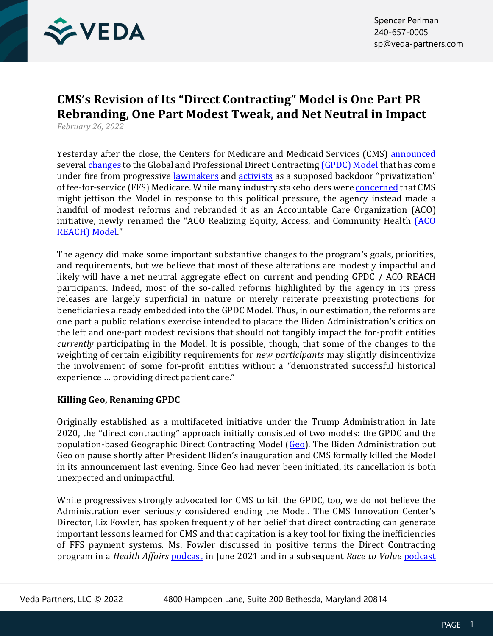

# **CMS's Revision of Its "Direct Contracting" Model is One Part PR Rebranding, One Part Modest Tweak, and Net Neutral in Impact**

*February 26, 2022*

Yesterday after the close, the Centers for Medicare and Medicaid Services (CMS) [announced](https://www.cms.gov/newsroom/press-releases/cms-redesigns-accountable-care-organization-model-provide-better-care-people-traditional-medicare) several [changes](https://innovation.cms.gov/media/document/gpdc-aco-reach-comparison) to the Global and Professional Direct Contractin[g \(GPDC\) Model](https://innovation.cms.gov/innovation-models/gpdc-model) that has come under fire from progressive [lawmakers](https://www.finance.senate.gov/download/020222-warren-statement) and [activists](https://www.finance.senate.gov/download/2022022-rogers-testimony) as a supposed backdoor "privatization" of fee-for-service (FFS) Medicare. While many industry stakeholders were [concerned](https://subscriber.politicopro.com/newsletter/2022/02/biden-weighs-changes-to-trump-era-medicare-policy-00009534) that CMS might jettison the Model in response to this political pressure, the agency instead made a handful of modest reforms and rebranded it as an Accountable Care Organization (ACO) initiative, newly renamed the "ACO Realizing Equity, Access, and Community Health *[ACO* [REACH\) Model.](https://innovation.cms.gov/innovation-models/aco-reach)"

The agency did make some important substantive changes to the program's goals, priorities, and requirements, but we believe that most of these alterations are modestly impactful and likely will have a net neutral aggregate effect on current and pending GPDC / ACO REACH participants. Indeed, most of the so-called reforms highlighted by the agency in its press releases are largely superficial in nature or merely reiterate preexisting protections for beneficiaries already embedded into the GPDC Model. Thus, in our estimation, the reforms are one part a public relations exercise intended to placate the Biden Administration's critics on the left and one-part modest revisions that should not tangibly impact the for-profit entities *currently* participating in the Model. It is possible, though, that some of the changes to the weighting of certain eligibility requirements for *new participants* may slightly disincentivize the involvement of some for-profit entities without a "demonstrated successful historical experience … providing direct patient care."

# **Killing Geo, Renaming GPDC**

Originally established as a multifaceted initiative under the Trump Administration in late 2020, the "direct contracting" approach initially consisted of two models: the GPDC and the population-based Geographic Direct Contracting Model [\(Geo\)](https://innovation.cms.gov/innovation-models/geographic-direct-contracting-model). The Biden Administration put Geo on pause shortly after President Biden's inauguration and CMS formally killed the Model in its announcement last evening. Since Geo had never been initiated, its cancellation is both unexpected and unimpactful.

While progressives strongly advocated for CMS to kill the GPDC, too, we do not believe the Administration ever seriously considered ending the Model. The CMS Innovation Center's Director, Liz Fowler, has spoken frequently of her belief that direct contracting can generate important lessons learned for CMS and that capitation is a key tool for fixing the inefficiencies of FFS payment systems. Ms. Fowler discussed in positive terms the Direct Contracting program in a *Health Affairs* [podcast](https://www.healthaffairs.org/do/10.1377/hp20210604.399782/full/) in June 2021 and in a subsequent *Race to Value* [podcast](https://www.racetovalue.org/driving-health-value-transformation-a-strategy-for-the-cms-innovation-centers-second-decade-with-elizabeth-fowler/)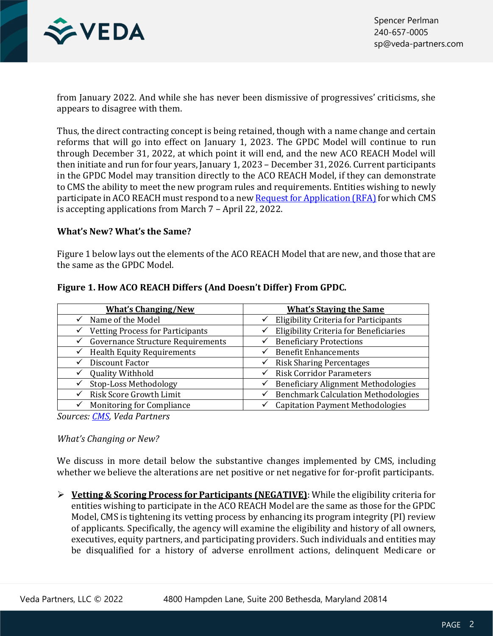

from January 2022. And while she has never been dismissive of progressives' criticisms, she appears to disagree with them.

Thus, the direct contracting concept is being retained, though with a name change and certain reforms that will go into effect on January 1, 2023. The GPDC Model will continue to run through December 31, 2022, at which point it will end, and the new ACO REACH Model will then initiate and run for four years, January 1, 2023 – December 31, 2026. Current participants in the GPDC Model may transition directly to the ACO REACH Model, if they can demonstrate to CMS the ability to meet the new program rules and requirements. Entities wishing to newly participate in ACO REACH must respond to a new [Request for Application \(RFA\)](https://innovation.cms.gov/media/document/aco-reach-rfa) for which CMS is accepting applications from March 7 – April 22, 2022.

## **What's New? What's the Same?**

Figure 1 below lays out the elements of the ACO REACH Model that are new, and those that are the same as the GPDC Model.

| <b>What's Changing/New</b>               | <b>What's Staving the Same</b>                               |
|------------------------------------------|--------------------------------------------------------------|
| Name of the Model                        | <b>Eligibility Criteria for Participants</b><br>$\checkmark$ |
| <b>Vetting Process for Participants</b>  | <b>Eligibility Criteria for Beneficiaries</b>                |
| ✓                                        | ✓                                                            |
| <b>Governance Structure Requirements</b> | <b>Beneficiary Protections</b>                               |
| <b>Health Equity Requirements</b>        | <b>Benefit Enhancements</b>                                  |
| ✓                                        | $\checkmark$                                                 |
| Discount Factor                          | <b>Risk Sharing Percentages</b>                              |
| ✓                                        | ✓                                                            |
| <b>Quality Withhold</b>                  | <b>Risk Corridor Parameters</b><br>$\checkmark$              |
| Stop-Loss Methodology                    | <b>Beneficiary Alignment Methodologies</b><br>$\checkmark$   |
| Risk Score Growth Limit                  | <b>Benchmark Calculation Methodologies</b>                   |
| ✓                                        | ✓                                                            |
| <b>Monitoring for Compliance</b>         | <b>Capitation Payment Methodologies</b>                      |
| $\checkmark$                             | $\checkmark$                                                 |

## **Figure 1. How ACO REACH Differs (And Doesn't Differ) From GPDC.**

*Sources: [CMS,](https://innovation.cms.gov/media/document/gpdc-aco-reach-comparison) Veda Partners*

## *What's Changing or New?*

We discuss in more detail below the substantive changes implemented by CMS, including whether we believe the alterations are net positive or net negative for for-profit participants.

➢ **Vetting & Scoring Process for Participants (NEGATIVE)**: While the eligibility criteria for entities wishing to participate in the ACO REACH Model are the same as those for the GPDC Model, CMS is tightening its vetting process by enhancing its program integrity (PI) review of applicants. Specifically, the agency will examine the eligibility and history of all owners, executives, equity partners, and participating providers. Such individuals and entities may be disqualified for a history of adverse enrollment actions, delinquent Medicare or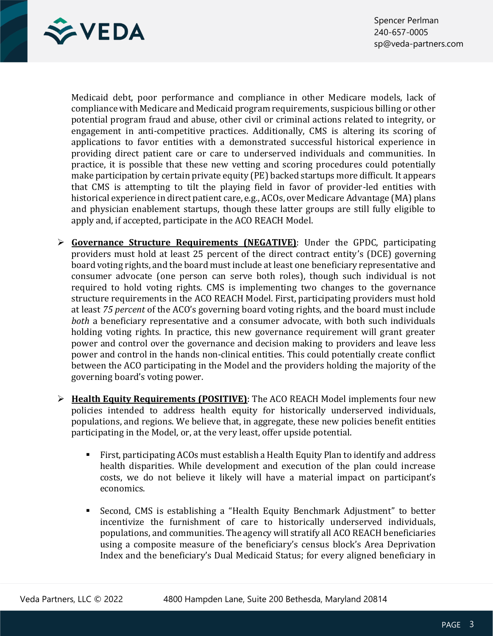

Medicaid debt, poor performance and compliance in other Medicare models, lack of compliance with Medicare and Medicaid program requirements, suspicious billing or other potential program fraud and abuse, other civil or criminal actions related to integrity, or engagement in anti-competitive practices. Additionally, CMS is altering its scoring of applications to favor entities with a demonstrated successful historical experience in providing direct patient care or care to underserved individuals and communities. In practice, it is possible that these new vetting and scoring procedures could potentially make participation by certain private equity (PE) backed startups more difficult. It appears that CMS is attempting to tilt the playing field in favor of provider-led entities with historical experience in direct patient care, e.g., ACOs, over Medicare Advantage (MA) plans and physician enablement startups, though these latter groups are still fully eligible to apply and, if accepted, participate in the ACO REACH Model.

- ➢ **Governance Structure Requirements (NEGATIVE)**: Under the GPDC, participating providers must hold at least 25 percent of the direct contract entity's (DCE) governing board voting rights, and the board must include at least one beneficiary representative and consumer advocate (one person can serve both roles), though such individual is not required to hold voting rights. CMS is implementing two changes to the governance structure requirements in the ACO REACH Model. First, participating providers must hold at least *75 percent* of the ACO's governing board voting rights, and the board must include *both* a beneficiary representative and a consumer advocate, with both such individuals holding voting rights. In practice, this new governance requirement will grant greater power and control over the governance and decision making to providers and leave less power and control in the hands non-clinical entities. This could potentially create conflict between the ACO participating in the Model and the providers holding the majority of the governing board's voting power.
- ➢ **Health Equity Requirements (POSITIVE)**: The ACO REACH Model implements four new policies intended to address health equity for historically underserved individuals, populations, and regions. We believe that, in aggregate, these new policies benefit entities participating in the Model, or, at the very least, offer upside potential.
	- First, participating ACOs must establish a Health Equity Plan to identify and address health disparities. While development and execution of the plan could increase costs, we do not believe it likely will have a material impact on participant's economics.
	- Second, CMS is establishing a "Health Equity Benchmark Adjustment" to better incentivize the furnishment of care to historically underserved individuals, populations, and communities. The agency will stratify all ACO REACH beneficiaries using a composite measure of the beneficiary's census block's Area Deprivation Index and the beneficiary's Dual Medicaid Status; for every aligned beneficiary in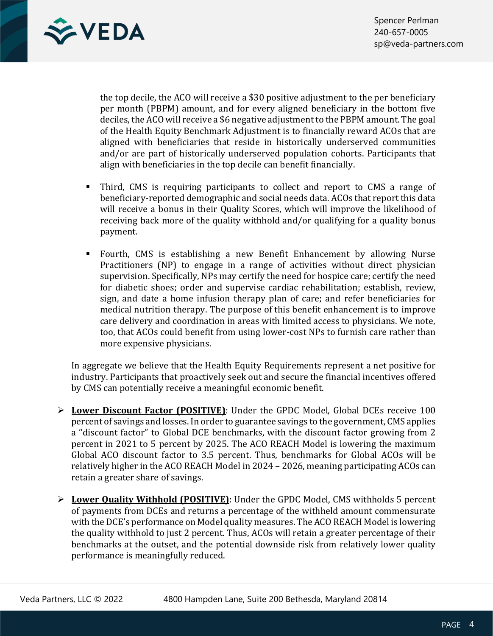

the top decile, the ACO will receive a \$30 positive adjustment to the per beneficiary per month (PBPM) amount, and for every aligned beneficiary in the bottom five deciles, the ACO will receive a \$6 negative adjustment to the PBPM amount. The goal of the Health Equity Benchmark Adjustment is to financially reward ACOs that are aligned with beneficiaries that reside in historically underserved communities and/or are part of historically underserved population cohorts. Participants that align with beneficiaries in the top decile can benefit financially.

- Third, CMS is requiring participants to collect and report to CMS a range of beneficiary-reported demographic and social needs data. ACOs that report this data will receive a bonus in their Quality Scores, which will improve the likelihood of receiving back more of the quality withhold and/or qualifying for a quality bonus payment.
- Fourth, CMS is establishing a new Benefit Enhancement by allowing Nurse Practitioners (NP) to engage in a range of activities without direct physician supervision. Specifically, NPs may certify the need for hospice care; certify the need for diabetic shoes; order and supervise cardiac rehabilitation; establish, review, sign, and date a home infusion therapy plan of care; and refer beneficiaries for medical nutrition therapy. The purpose of this benefit enhancement is to improve care delivery and coordination in areas with limited access to physicians. We note, too, that ACOs could benefit from using lower-cost NPs to furnish care rather than more expensive physicians.

In aggregate we believe that the Health Equity Requirements represent a net positive for industry. Participants that proactively seek out and secure the financial incentives offered by CMS can potentially receive a meaningful economic benefit.

- ➢ **Lower Discount Factor (POSITIVE)**: Under the GPDC Model, Global DCEs receive 100 percent of savings and losses. In order to guarantee savings to the government, CMS applies a "discount factor" to Global DCE benchmarks, with the discount factor growing from 2 percent in 2021 to 5 percent by 2025. The ACO REACH Model is lowering the maximum Global ACO discount factor to 3.5 percent. Thus, benchmarks for Global ACOs will be relatively higher in the ACO REACH Model in 2024 – 2026, meaning participating ACOs can retain a greater share of savings.
- ➢ **Lower Quality Withhold (POSITIVE)**: Under the GPDC Model, CMS withholds 5 percent of payments from DCEs and returns a percentage of the withheld amount commensurate with the DCE's performance on Model quality measures. The ACO REACH Model is lowering the quality withhold to just 2 percent. Thus, ACOs will retain a greater percentage of their benchmarks at the outset, and the potential downside risk from relatively lower quality performance is meaningfully reduced.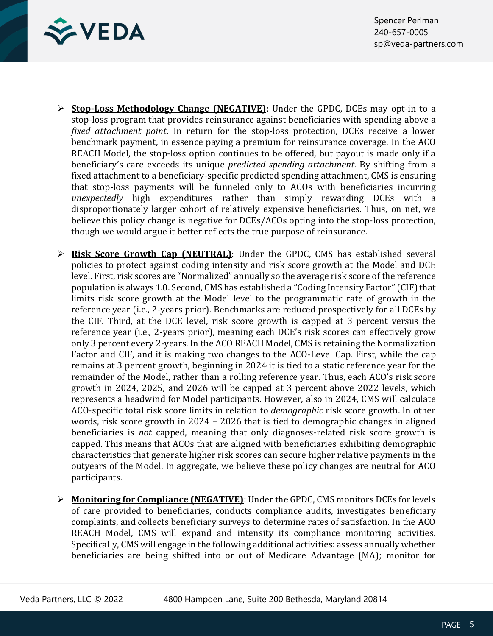

- ➢ **Stop-Loss Methodology Change (NEGATIVE)**: Under the GPDC, DCEs may opt-in to a stop-loss program that provides reinsurance against beneficiaries with spending above a *fixed attachment point*. In return for the stop-loss protection, DCEs receive a lower benchmark payment, in essence paying a premium for reinsurance coverage. In the ACO REACH Model, the stop-loss option continues to be offered, but payout is made only if a beneficiary's care exceeds its unique *predicted spending attachment*. By shifting from a fixed attachment to a beneficiary-specific predicted spending attachment, CMS is ensuring that stop-loss payments will be funneled only to ACOs with beneficiaries incurring *unexpectedly* high expenditures rather than simply rewarding DCEs with a disproportionately larger cohort of relatively expensive beneficiaries. Thus, on net, we believe this policy change is negative for DCEs/ACOs opting into the stop-loss protection, though we would argue it better reflects the true purpose of reinsurance.
- ➢ **Risk Score Growth Cap (NEUTRAL)**: Under the GPDC, CMS has established several policies to protect against coding intensity and risk score growth at the Model and DCE level. First, risk scores are "Normalized" annually so the average risk score of the reference population is always 1.0. Second, CMS has established a "Coding Intensity Factor" (CIF) that limits risk score growth at the Model level to the programmatic rate of growth in the reference year (i.e., 2-years prior). Benchmarks are reduced prospectively for all DCEs by the CIF. Third, at the DCE level, risk score growth is capped at 3 percent versus the reference year (i.e., 2-years prior), meaning each DCE's risk scores can effectively grow only 3 percent every 2-years. In the ACO REACH Model, CMS is retaining the Normalization Factor and CIF, and it is making two changes to the ACO-Level Cap. First, while the cap remains at 3 percent growth, beginning in 2024 it is tied to a static reference year for the remainder of the Model, rather than a rolling reference year. Thus, each ACO's risk score growth in 2024, 2025, and 2026 will be capped at 3 percent above 2022 levels, which represents a headwind for Model participants. However, also in 2024, CMS will calculate ACO-specific total risk score limits in relation to *demographic* risk score growth. In other words, risk score growth in 2024 – 2026 that is tied to demographic changes in aligned beneficiaries is *not* capped, meaning that only diagnoses-related risk score growth is capped. This means that ACOs that are aligned with beneficiaries exhibiting demographic characteristics that generate higher risk scores can secure higher relative payments in the outyears of the Model. In aggregate, we believe these policy changes are neutral for ACO participants.
- ➢ **Monitoring for Compliance (NEGATIVE)**: Under the GPDC, CMS monitors DCEs for levels of care provided to beneficiaries, conducts compliance audits, investigates beneficiary complaints, and collects beneficiary surveys to determine rates of satisfaction. In the ACO REACH Model, CMS will expand and intensity its compliance monitoring activities. Specifically, CMS will engage in the following additional activities: assess annually whether beneficiaries are being shifted into or out of Medicare Advantage (MA); monitor for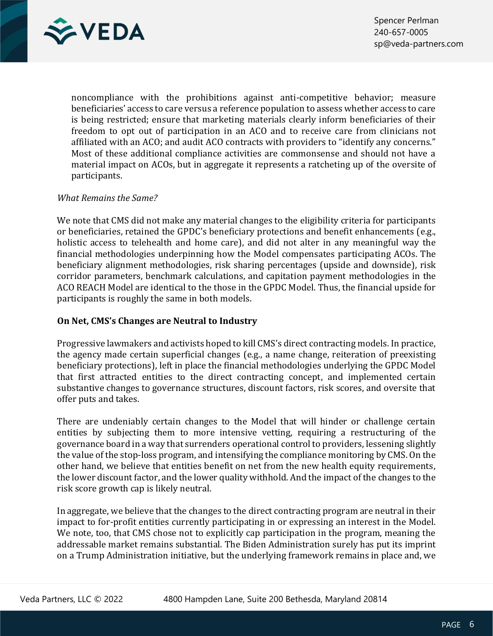

noncompliance with the prohibitions against anti-competitive behavior; measure beneficiaries' access to care versus a reference population to assess whether access to care is being restricted; ensure that marketing materials clearly inform beneficiaries of their freedom to opt out of participation in an ACO and to receive care from clinicians not affiliated with an ACO; and audit ACO contracts with providers to "identify any concerns." Most of these additional compliance activities are commonsense and should not have a material impact on ACOs, but in aggregate it represents a ratcheting up of the oversite of participants.

# *What Remains the Same?*

We note that CMS did not make any material changes to the eligibility criteria for participants or beneficiaries, retained the GPDC's beneficiary protections and benefit enhancements (e.g., holistic access to telehealth and home care), and did not alter in any meaningful way the financial methodologies underpinning how the Model compensates participating ACOs. The beneficiary alignment methodologies, risk sharing percentages (upside and downside), risk corridor parameters, benchmark calculations, and capitation payment methodologies in the ACO REACH Model are identical to the those in the GPDC Model. Thus, the financial upside for participants is roughly the same in both models.

# **On Net, CMS's Changes are Neutral to Industry**

Progressive lawmakers and activists hoped to kill CMS's direct contracting models. In practice, the agency made certain superficial changes (e.g., a name change, reiteration of preexisting beneficiary protections), left in place the financial methodologies underlying the GPDC Model that first attracted entities to the direct contracting concept, and implemented certain substantive changes to governance structures, discount factors, risk scores, and oversite that offer puts and takes.

There are undeniably certain changes to the Model that will hinder or challenge certain entities by subjecting them to more intensive vetting, requiring a restructuring of the governance board in a way that surrenders operational control to providers, lessening slightly the value of the stop-loss program, and intensifying the compliance monitoring by CMS. On the other hand, we believe that entities benefit on net from the new health equity requirements, the lower discount factor, and the lower quality withhold. And the impact of the changes to the risk score growth cap is likely neutral.

In aggregate, we believe that the changes to the direct contracting program are neutral in their impact to for-profit entities currently participating in or expressing an interest in the Model. We note, too, that CMS chose not to explicitly cap participation in the program, meaning the addressable market remains substantial. The Biden Administration surely has put its imprint on a Trump Administration initiative, but the underlying framework remains in place and, we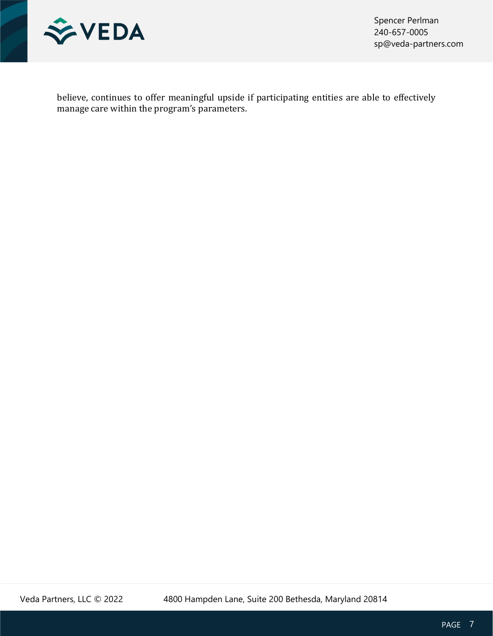

Spencer Perlman 240-657-0005 sp@veda-partners.com

believe, continues to offer meaningful upside if participating entities are able to effectively manage care within the program's parameters.